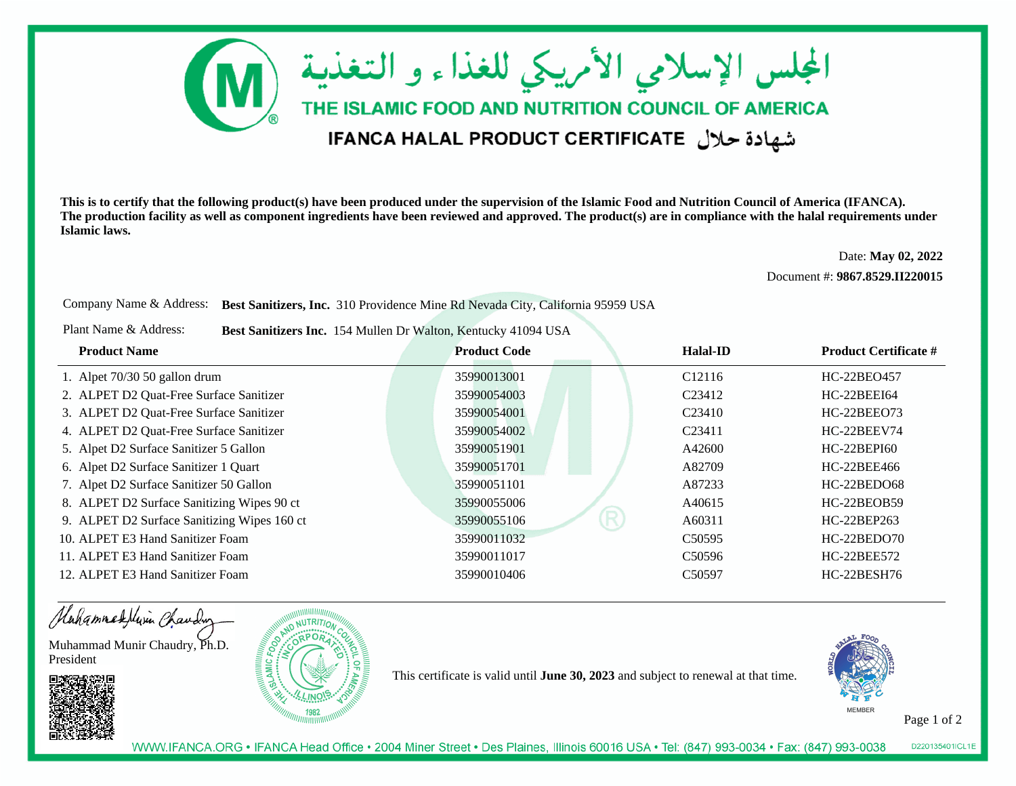

**This is to certify that the following product(s) have been produced under the supervision of the Islamic Food and Nutrition Council of America (IFANCA). The production facility as well as component ingredients have been reviewed and approved. The product(s) are in compliance with the halal requirements underIslamic laws.**

> Date: **May 02, 2022**Document #: **9867.8529.II220015**

Company Name & Address: **Best Sanitizers, Inc.** 310 Providence Mine Rd Nevada City, California 95959 USA

Plant Name & Address:**Best Sanitizers Inc.** 154 Mullen Dr Walton, Kentucky 41094 USA

| <b>Product Name</b>                         | <b>Product Code</b> | Halal-ID            | <b>Product Certificate #</b> |
|---------------------------------------------|---------------------|---------------------|------------------------------|
| 1. Alpet $70/30$ 50 gallon drum             | 35990013001         | C <sub>12116</sub>  | HC-22BEO457                  |
| 2. ALPET D2 Quat-Free Surface Sanitizer     | 35990054003         | C <sub>23412</sub>  | HC-22BEEI64                  |
| 3. ALPET D2 Quat-Free Surface Sanitizer     | 35990054001         | C <sub>23410</sub>  | HC-22BEE073                  |
| 4. ALPET D2 Quat-Free Surface Sanitizer     | 35990054002         | C <sub>23411</sub>  | HC-22BEEV74                  |
| 5. Alpet D2 Surface Sanitizer 5 Gallon      | 35990051901         | A42600              | HC-22BEPI60                  |
| 6. Alpet D2 Surface Sanitizer 1 Quart       | 35990051701         | A82709              | HC-22BEE466                  |
| 7. Alpet D2 Surface Sanitizer 50 Gallon     | 35990051101         | A87233              | HC-22BEDO68                  |
| 8. ALPET D2 Surface Sanitizing Wipes 90 ct  | 35990055006         | A40615              | HC-22BEOB59                  |
| 9. ALPET D2 Surface Sanitizing Wipes 160 ct | R<br>35990055106    | A60311              | HC-22BEP263                  |
| 10. ALPET E3 Hand Sanitizer Foam            | 35990011032         | C <sub>5</sub> 0595 | $HC-22BEDO70$                |
| 11. ALPET E3 Hand Sanitizer Foam            | 35990011017         | C <sub>50596</sub>  | HC-22BEE572                  |
| 12. ALPET E3 Hand Sanitizer Foam            | 35990010406         | C <sub>5</sub> 0597 | HC-22BESH76                  |

Hahammadellin Chauding

Muhammad Munir Chaudry, Ph.D.President





This certificate is valid until **June 30, 2023** and subject to renewal at that time.



Page 1 of 2